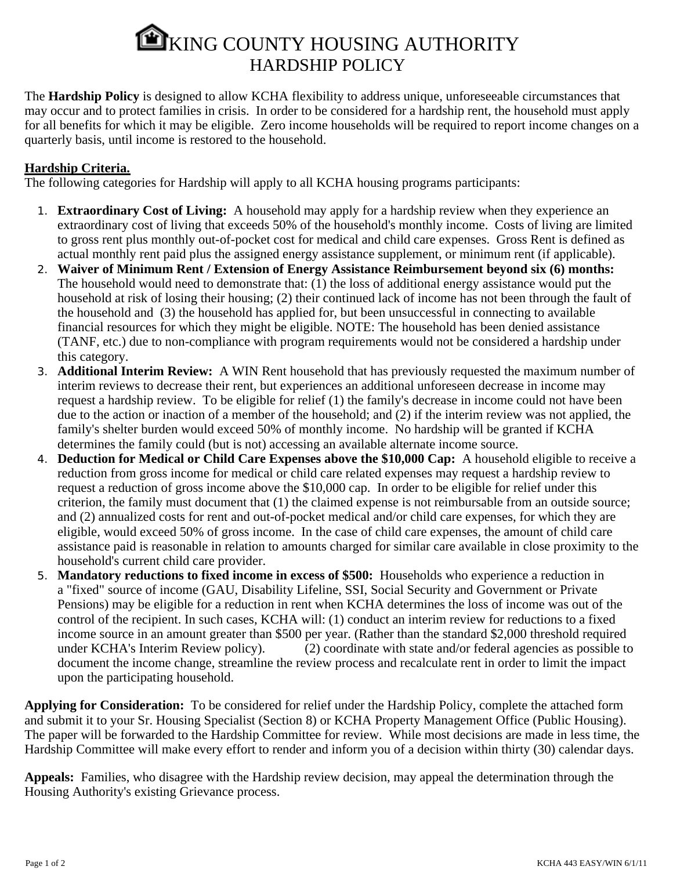## EXING COUNTY HOUSING AUTHORITY HARDSHIP POLICY

The **Hardship Policy** is designed to allow KCHA flexibility to address unique, unforeseeable circumstances that may occur and to protect families in crisis. In order to be considered for a hardship rent, the household must apply for all benefits for which it may be eligible. Zero income households will be required to report income changes on a quarterly basis, until income is restored to the household.

## **Hardship Criteria.**

The following categories for Hardship will apply to all KCHA housing programs participants:

- 1. **Extraordinary Cost of Living:** A household may apply for a hardship review when they experience an extraordinary cost of living that exceeds 50% of the household's monthly income. Costs of living are limited to gross rent plus monthly out-of-pocket cost for medical and child care expenses. Gross Rent is defined as actual monthly rent paid plus the assigned energy assistance supplement, or minimum rent (if applicable).
- 2. **Waiver of Minimum Rent / Extension of Energy Assistance Reimbursement beyond six (6) months:** The household would need to demonstrate that: (1) the loss of additional energy assistance would put the household at risk of losing their housing; (2) their continued lack of income has not been through the fault of the household and (3) the household has applied for, but been unsuccessful in connecting to available financial resources for which they might be eligible. NOTE: The household has been denied assistance (TANF, etc.) due to non-compliance with program requirements would not be considered a hardship under this category.
- 3. **Additional Interim Review:** A WIN Rent household that has previously requested the maximum number of interim reviews to decrease their rent, but experiences an additional unforeseen decrease in income may request a hardship review. To be eligible for relief (1) the family's decrease in income could not have been due to the action or inaction of a member of the household; and (2) if the interim review was not applied, the family's shelter burden would exceed 50% of monthly income. No hardship will be granted if KCHA determines the family could (but is not) accessing an available alternate income source.
- 4. **Deduction for Medical or Child Care Expenses above the \$10,000 Cap:** A household eligible to receive a reduction from gross income for medical or child care related expenses may request a hardship review to request a reduction of gross income above the \$10,000 cap. In order to be eligible for relief under this criterion, the family must document that (1) the claimed expense is not reimbursable from an outside source; and (2) annualized costs for rent and out-of-pocket medical and/or child care expenses, for which they are eligible, would exceed 50% of gross income. In the case of child care expenses, the amount of child care assistance paid is reasonable in relation to amounts charged for similar care available in close proximity to the household's current child care provider.
- 5. **Mandatory reductions to fixed income in excess of \$500:** Households who experience a reduction in a "fixed" source of income (GAU, Disability Lifeline, SSI, Social Security and Government or Private Pensions) may be eligible for a reduction in rent when KCHA determines the loss of income was out of the control of the recipient. In such cases, KCHA will: (1) conduct an interim review for reductions to a fixed income source in an amount greater than \$500 per year. (Rather than the standard \$2,000 threshold required under KCHA's Interim Review policy). (2) coordinate with state and/or federal agencies as possible to document the income change, streamline the review process and recalculate rent in order to limit the impact upon the participating household.

**Applying for Consideration:** To be considered for relief under the Hardship Policy, complete the attached form and submit it to your Sr. Housing Specialist (Section 8) or KCHA Property Management Office (Public Housing). The paper will be forwarded to the Hardship Committee for review. While most decisions are made in less time, the Hardship Committee will make every effort to render and inform you of a decision within thirty (30) calendar days.

**Appeals:** Families, who disagree with the Hardship review decision, may appeal the determination through the Housing Authority's existing Grievance process.